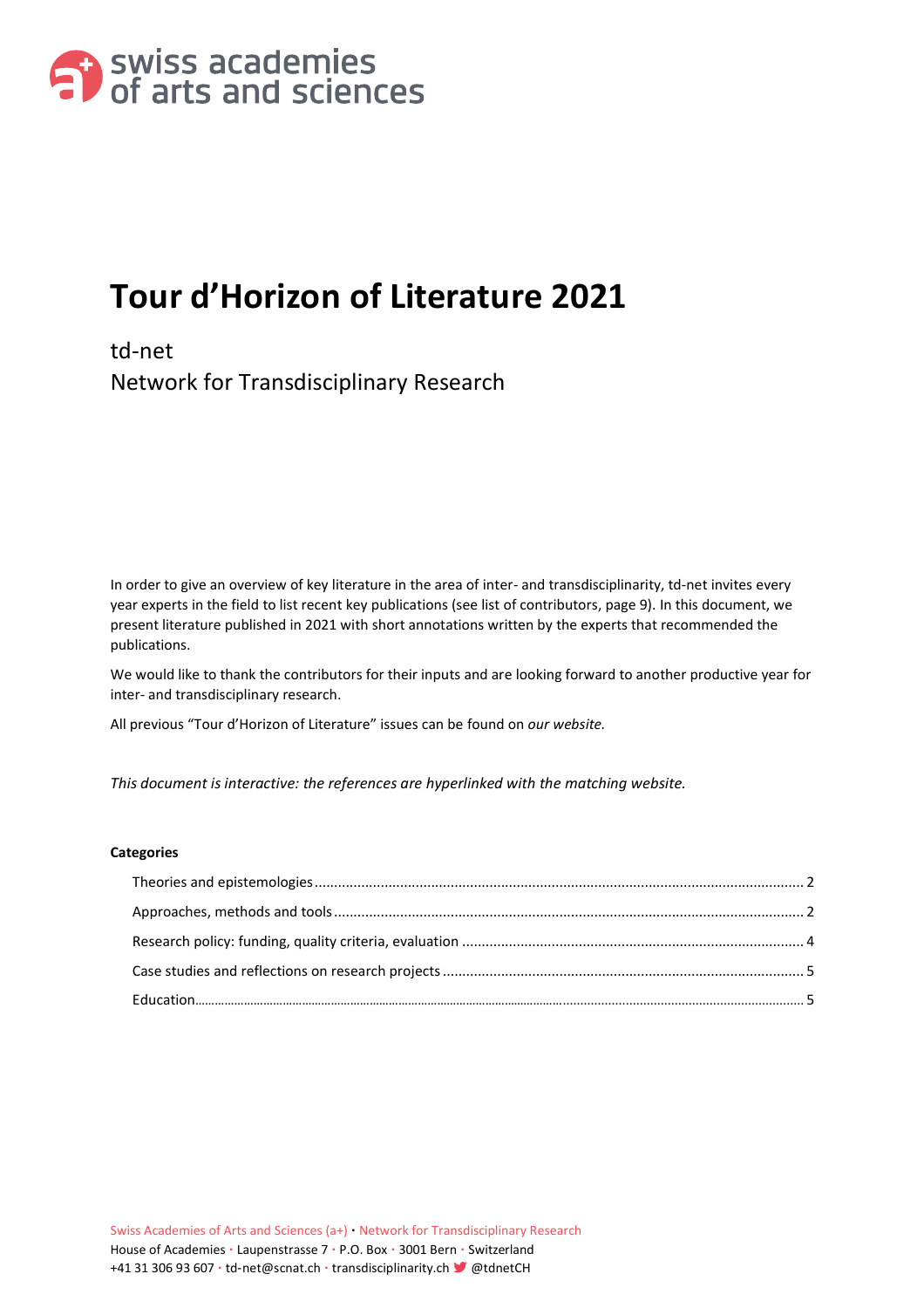

# **Tour d'Horizon of Literature 2021**

td-net Network for Transdisciplinary Research

In order to give an overview of key literature in the area of inter- and transdisciplinarity, td-net invites every year experts in the field to list recent key publications (see list of contributors, page 9). In this document, we present literature published in 2021 with short annotations written by the experts that recommended the publications.

We would like to thank the contributors for their inputs and are looking forward to another productive year for inter- and transdisciplinary research.

All previous "Tour d'Horizon of Literature" issues can be found on *[our website.](https://transdisciplinarity.ch/de/publikationen/tour-dhorizon/)*

*This document is interactive: the references are hyperlinked with the matching website.*

#### **Categories**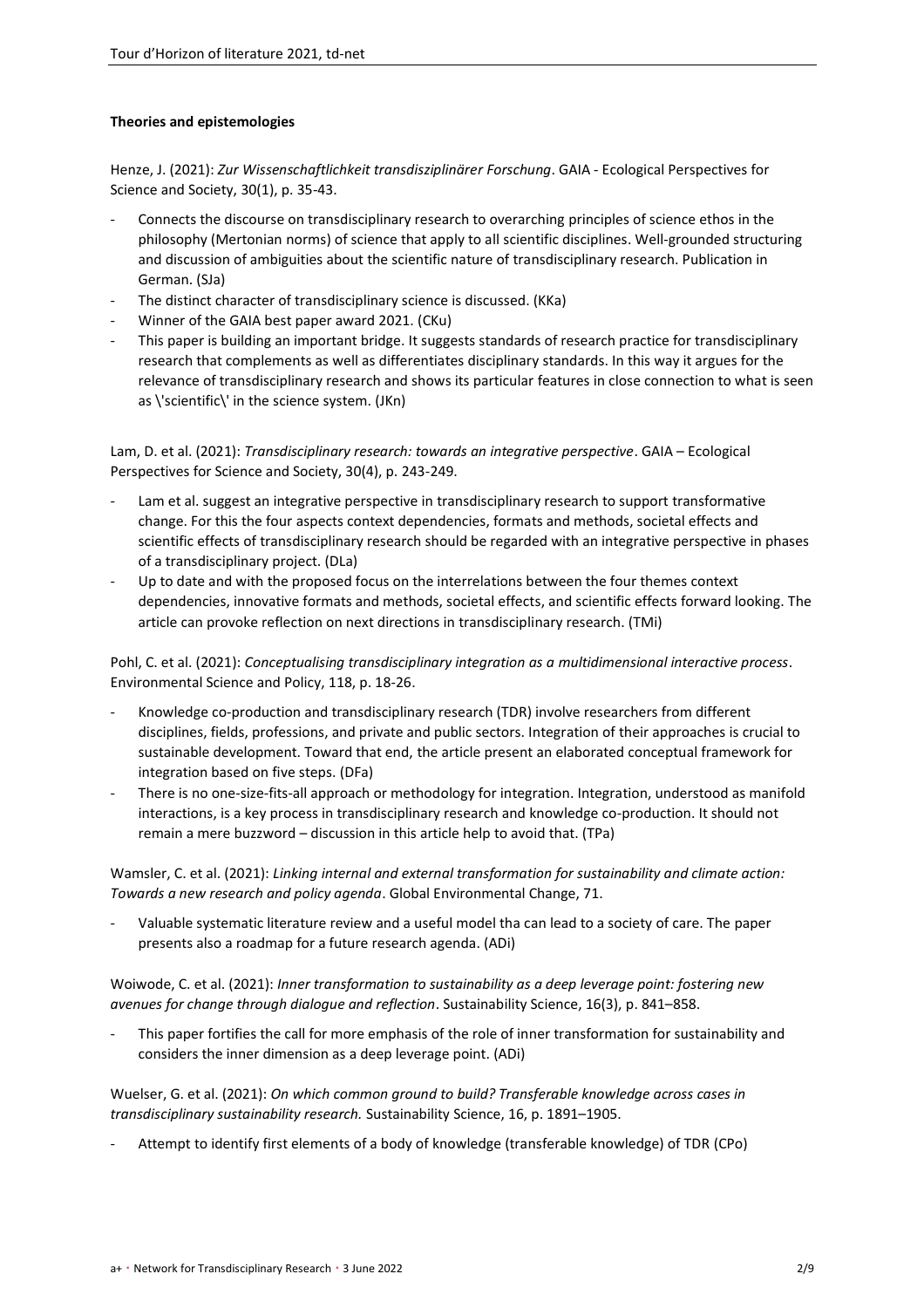## <span id="page-1-0"></span>**Theories and epistemologies**

Henze, J. (2021): *[Zur Wissenschaftlichkeit transdisziplinärer Forschung](https://www.ingentaconnect.com/content/oekom/gaia/2021/00000030/00000001/art00009)*. GAIA - Ecological Perspectives for [Science and Society, 30\(1\), p. 35-43.](https://www.ingentaconnect.com/content/oekom/gaia/2021/00000030/00000001/art00009)

- Connects the discourse on transdisciplinary research to overarching principles of science ethos in the philosophy (Mertonian norms) of science that apply to all scientific disciplines. Well-grounded structuring and discussion of ambiguities about the scientific nature of transdisciplinary research. Publication in German. (SJa)
- The distinct character of transdisciplinary science is discussed. (KKa)
- Winner of the GAIA best paper award 2021. (CKu)
- This paper is building an important bridge. It suggests standards of research practice for transdisciplinary research that complements as well as differentiates disciplinary standards. In this way it argues for the relevance of transdisciplinary research and shows its particular features in close connection to what is seen as \'scientific\' in the science system. (JKn)

Lam, D. et al. (2021): *[Transdisciplinary research: towards an integrative perspective](https://www.ingentaconnect.com/content/oekom/gaia/2021/00000030/00000004/art00008)*. GAIA – Ecological [Perspectives for Science and Society, 30\(4\), p. 243-249.](https://www.ingentaconnect.com/content/oekom/gaia/2021/00000030/00000004/art00008)

- Lam et al. suggest an integrative perspective in transdisciplinary research to support transformative change. For this the four aspects context dependencies, formats and methods, societal effects and scientific effects of transdisciplinary research should be regarded with an integrative perspective in phases of a transdisciplinary project. (DLa)
- Up to date and with the proposed focus on the interrelations between the four themes context dependencies, innovative formats and methods, societal effects, and scientific effects forward looking. The article can provoke reflection on next directions in transdisciplinary research. (TMi)

Pohl, C. et al. (2021): *[Conceptualising transdisciplinary integration as a](https://www.dora.lib4ri.ch/eawag/islandora/object/eawag%3A21993/datastream/PDF/Pohl-2021-Conceptualising_transdisciplinary_integration_as_a-%28published_version%29.pdf) multidimensional interactive process*. [Environmental Science and Policy, 118, p. 18-26.](https://www.dora.lib4ri.ch/eawag/islandora/object/eawag%3A21993/datastream/PDF/Pohl-2021-Conceptualising_transdisciplinary_integration_as_a-%28published_version%29.pdf)

- Knowledge co-production and transdisciplinary research (TDR) involve researchers from different disciplines, fields, professions, and private and public sectors. Integration of their approaches is crucial to sustainable development. Toward that end, the article present an elaborated conceptual framework for integration based on five steps. (DFa)
- There is no one-size-fits-all approach or methodology for integration. Integration, understood as manifold interactions, is a key process in transdisciplinary research and knowledge co-production. It should not remain a mere buzzword – discussion in this article help to avoid that. (TPa)

Wamsler, C. et al. (2021): *[Linking internal and external transformation for sustainability and climate action:](https://reader.elsevier.com/reader/sd/pii/S0959378021001527?token=3AD7A94D7B74B474D3CD72167922E1DC705E374DE36ACFC27F2E3ACFDAA2CFFB7A746C5FB5BFF3D068DF3D87598908AB&originRegion=eu-west-1&originCreation=20220510091728)  [Towards a new research and policy agenda](https://reader.elsevier.com/reader/sd/pii/S0959378021001527?token=3AD7A94D7B74B474D3CD72167922E1DC705E374DE36ACFC27F2E3ACFDAA2CFFB7A746C5FB5BFF3D068DF3D87598908AB&originRegion=eu-west-1&originCreation=20220510091728)*. Global Environmental Change, 71.

- Valuable systematic literature review and a useful model tha can lead to a society of care. The paper presents also a roadmap for a future research agenda. (ADi)

Woiwode, C. et al. (2021): *[Inner transformation to sustainability as a deep leverage point: fostering new](https://link.springer.com/article/10.1007/s11625-020-00882-y)  [avenues for change through dialogue and reflection](https://link.springer.com/article/10.1007/s11625-020-00882-y)*. Sustainability Science, 16(3), p. 841–858.

<span id="page-1-1"></span>This paper fortifies the call for more emphasis of the role of inner transformation for sustainability and considers the inner dimension as a deep leverage point. (ADi)

Wuelser, G. et al. (2021): *[On which common ground to build? Transferable knowledge across cases in](https://link.springer.com/article/10.1007/s11625-021-01010-0)  [transdisciplinary sustainability research.](https://link.springer.com/article/10.1007/s11625-021-01010-0)* Sustainability Science, 16, p. 1891–1905.

- Attempt to identify first elements of a body of knowledge (transferable knowledge) of TDR (CPo)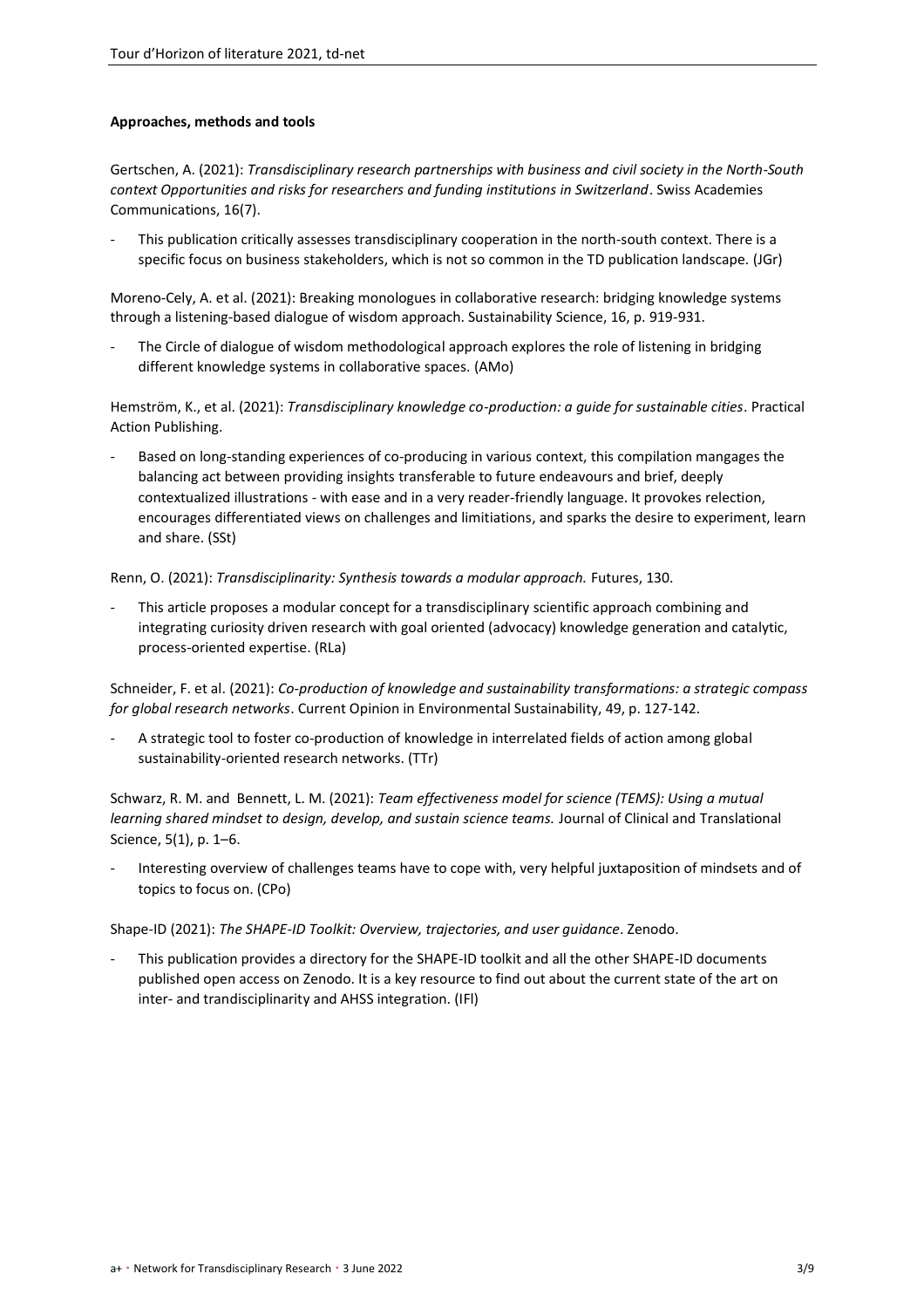## **Approaches, methods and tools**

Gertschen, A. (2021): *Transdisciplinary research partnerships with business and civil society in the North-South context Opportunities and risks for researchers and funding institutions in Switzerland*. Swiss Academies Communications, 16(7).

This publication critically assesses transdisciplinary cooperation in the north-south context. There is a specific focus on business stakeholders, which is not so common in the TD publication landscape. (JGr)

[Moreno-Cely, A. et al. \(2021\): Breaking monologues in collaborative research: bridging knowledge systems](https://link.springer.com/article/10.1007/s11625-021-00937-8)  [through a listening-based dialogue of wisdom approach. Sustainability Science, 16, p. 919-931.](https://link.springer.com/article/10.1007/s11625-021-00937-8)

The Circle of dialogue of wisdom methodological approach explores the role of listening in bridging different knowledge systems in collaborative spaces. (AMo)

Hemström, K., et al. (2021): *[Transdisciplinary knowledge co-production: a guide for sustainable cities](https://practicalactionpublishing.com/book/2544/transdisciplinary-knowledge-co-production-for-sustainable-cities)*. Practical [Action Publishing.](https://practicalactionpublishing.com/book/2544/transdisciplinary-knowledge-co-production-for-sustainable-cities)

Based on long-standing experiences of co-producing in various context, this compilation mangages the balancing act between providing insights transferable to future endeavours and brief, deeply contextualized illustrations - with ease and in a very reader-friendly language. It provokes relection, encourages differentiated views on challenges and limitiations, and sparks the desire to experiment, learn and share. (SSt)

Renn, O. (2021): *[Transdisciplinarity: Synthesis towards a modular approach.](https://www.sciencedirect.com/science/article/pii/S0016328721000537?via%3Dihub)* Futures, 130.

This article proposes a modular concept for a transdisciplinary scientific approach combining and integrating curiosity driven research with goal oriented (advocacy) knowledge generation and catalytic, process-oriented expertise. (RLa)

Schneider, F. et al. (2021): *[Co-production of knowledge and sustainability transformations: a strategic compass](https://www.sciencedirect.com/science/article/pii/S1877343521000646?via%3Dihub)  for global research networks*[. Current Opinion in Environmental Sustainability, 49, p. 127-142.](https://www.sciencedirect.com/science/article/pii/S1877343521000646?via%3Dihub)

A strategic tool to foster co-production of knowledge in interrelated fields of action among global sustainability-oriented research networks. (TTr)

Schwarz, R. M. and Bennett, L. M. (2021): *[Team effectiveness model for science \(TEMS\): Using a mutual](https://www.cambridge.org/core/journals/journal-of-clinical-and-translational-science/article/team-effectiveness-model-for-science-tems-using-a-mutual-learning-shared-mindset-to-design-develop-and-sustain-science-teams/4EA8DE4C4A22312E5E349A4451D80ABA)  [learning shared mindset to design, develop, and sustain science teams.](https://www.cambridge.org/core/journals/journal-of-clinical-and-translational-science/article/team-effectiveness-model-for-science-tems-using-a-mutual-learning-shared-mindset-to-design-develop-and-sustain-science-teams/4EA8DE4C4A22312E5E349A4451D80ABA)* Journal of Clinical and Translational [Science, 5\(1\), p. 1](https://www.cambridge.org/core/journals/journal-of-clinical-and-translational-science/article/team-effectiveness-model-for-science-tems-using-a-mutual-learning-shared-mindset-to-design-develop-and-sustain-science-teams/4EA8DE4C4A22312E5E349A4451D80ABA)–6.

Interesting overview of challenges teams have to cope with, very helpful juxtaposition of mindsets and of topics to focus on. (CPo)

Shape-ID (2021): *[The SHAPE-ID Toolkit: Overview, trajectories, and](https://zenodo.org/record/5532720#.YnqCZC-21hA) user guidance*. Zenodo.

<span id="page-2-0"></span>This publication provides a directory for the SHAPE-ID toolkit and all the other SHAPE-ID documents published open access on Zenodo. It is a key resource to find out about the current state of the art on inter- and trandisciplinarity and AHSS integration. (IFl)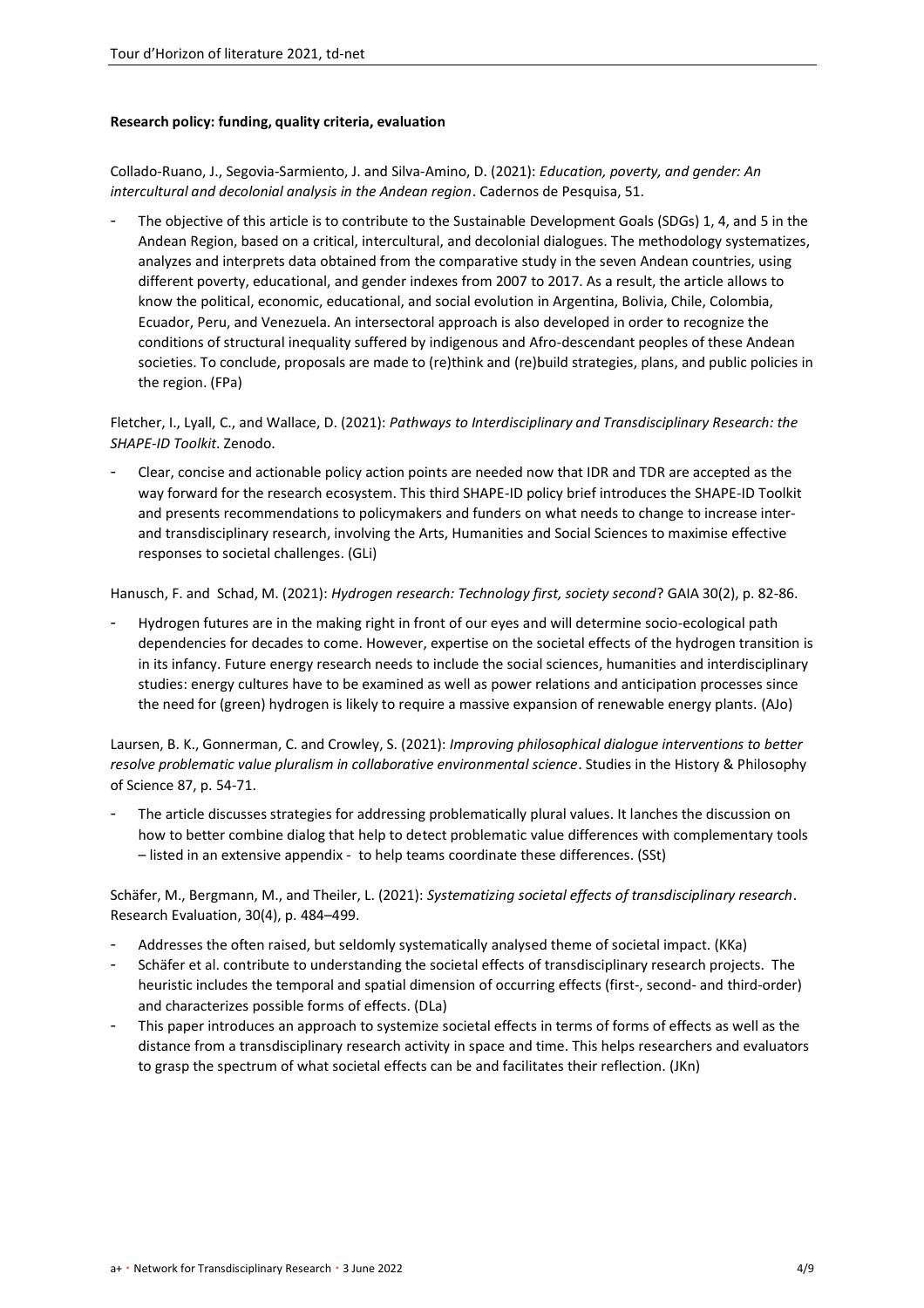## **Research policy: funding, quality criteria, evaluation**

[Collado-Ruano, J., Segovia-Sarmiento, J. and Silva-Amino, D. \(2021\):](http://publicacoes.fcc.org.br/index.php/cp/article/view/7248) *Education, poverty, and gender: An [intercultural and decolonial analysis in the Andean region](http://publicacoes.fcc.org.br/index.php/cp/article/view/7248)*. Cadernos de Pesquisa, 51.

The objective of this article is to contribute to the Sustainable Development Goals (SDGs) 1, 4, and 5 in the Andean Region, based on a critical, intercultural, and decolonial dialogues. The methodology systematizes, analyzes and interprets data obtained from the comparative study in the seven Andean countries, using different poverty, educational, and gender indexes from 2007 to 2017. As a result, the article allows to know the political, economic, educational, and social evolution in Argentina, Bolivia, Chile, Colombia, Ecuador, Peru, and Venezuela. An intersectoral approach is also developed in order to recognize the conditions of structural inequality suffered by indigenous and Afro-descendant peoples of these Andean societies. To conclude, proposals are made to (re)think and (re)build strategies, plans, and public policies in the region. (FPa)

Fletcher, I., Lyall, C., and Wallace, D. (2021): *[Pathways to Interdisciplinary and Transdisciplinary Research: the](https://zenodo.org/record/4922825#.YntlFy-21hA)  [SHAPE-ID Toolkit](https://zenodo.org/record/4922825#.YntlFy-21hA)*. Zenodo.

- Clear, concise and actionable policy action points are needed now that IDR and TDR are accepted as the way forward for the research ecosystem. This third SHAPE-ID policy brief introduces the SHAPE-ID Toolkit and presents recommendations to policymakers and funders on what needs to change to increase interand transdisciplinary research, involving the Arts, Humanities and Social Sciences to maximise effective responses to societal challenges. (GLi)

Hanusch, F. and Schad, M. (2021): *[Hydrogen research: Technology first, society second](https://www.oekom.de/_files_media/zeitschriften/artikel/GAIA_2021_02_82.pdf)*? GAIA 30(2), p. 82-86.

- Hydrogen futures are in the making right in front of our eyes and will determine socio-ecological path dependencies for decades to come. However, expertise on the societal effects of the hydrogen transition is in its infancy. Future energy research needs to include the social sciences, humanities and interdisciplinary studies: energy cultures have to be examined as well as power relations and anticipation processes since the need for (green) hydrogen is likely to require a massive expansion of renewable energy plants. (AJo)

Laursen, B. K., Gonnerman, C. and Crowley, S. (2021): *[Improving philosophical dialogue interventions to better](https://www.sciencedirect.com/science/article/pii/S0039368121000194?via%3Dihub)  [resolve problematic value pluralism in collaborative environmental science](https://www.sciencedirect.com/science/article/pii/S0039368121000194?via%3Dihub)*. Studies in the History & Philosophy [of Science 87, p. 54-71.](https://www.sciencedirect.com/science/article/pii/S0039368121000194?via%3Dihub)

The article discusses strategies for addressing problematically plural values. It lanches the discussion on how to better combine dialog that help to detect problematic value differences with complementary tools – listed in an extensive appendix - to help teams coordinate these differences. (SSt)

Schäfer, M., Bergmann, M., and Theiler, L. (2021): *[Systematizing societal effects of transdisciplinary research](https://academic.oup.com/rev/article-abstract/30/4/484/6375754?redirectedFrom=fulltext#no-access-message)*. [Research Evaluation, 30\(4\), p. 484](https://academic.oup.com/rev/article-abstract/30/4/484/6375754?redirectedFrom=fulltext#no-access-message)–499.

- Addresses the often raised, but seldomly systematically analysed theme of societal impact. (KKa)
- Schäfer et al. contribute to understanding the societal effects of transdisciplinary research projects. The heuristic includes the temporal and spatial dimension of occurring effects (first-, second- and third-order) and characterizes possible forms of effects. (DLa)
- This paper introduces an approach to systemize societal effects in terms of forms of effects as well as the distance from a transdisciplinary research activity in space and time. This helps researchers and evaluators to grasp the spectrum of what societal effects can be and facilitates their reflection. (JKn)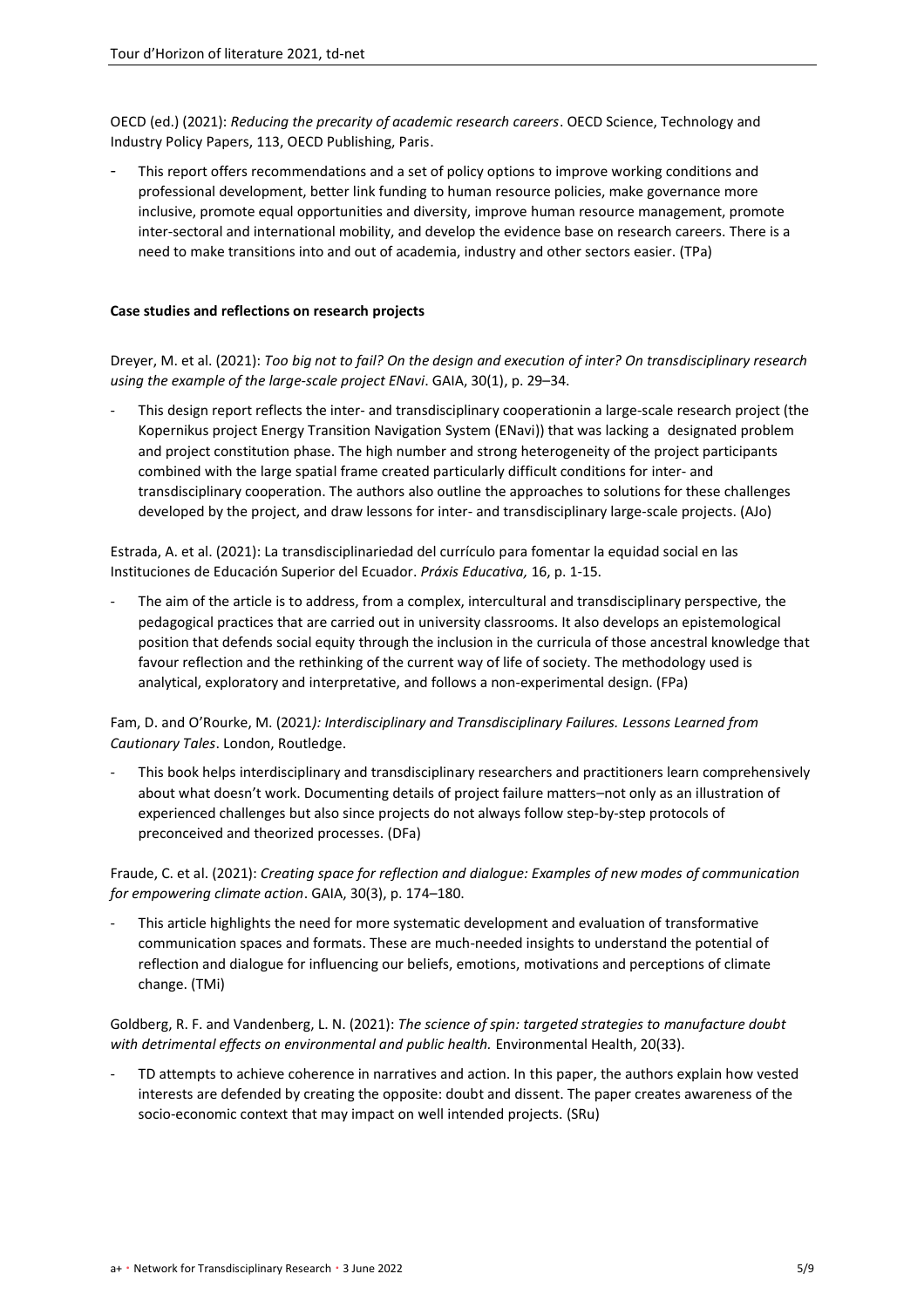OECD (ed.) (2021): *[Reducing the precarity of academic research careers](https://www.oecd-ilibrary.org/science-and-technology/reducing-the-precarity-of-academic-research-careers_0f8bd468-en)*. OECD Science, Technology and [Industry Policy Papers, 113, OECD Publishing, Paris.](https://www.oecd-ilibrary.org/science-and-technology/reducing-the-precarity-of-academic-research-careers_0f8bd468-en)

This report offers recommendations and a set of policy options to improve working conditions and professional development, better link funding to human resource policies, make governance more inclusive, promote equal opportunities and diversity, improve human resource management, promote inter-sectoral and international mobility, and develop the evidence base on research careers. There is a need to make transitions into and out of academia, industry and other sectors easier. (TPa)

## <span id="page-4-1"></span><span id="page-4-0"></span>**Case studies and reflections on research projects**

Dreyer, M. et al. (2021): *[Too big not to fail? On the design and execution of inter? On transdisciplinary research](https://www.ingentaconnect.com/content/oekom/gaia/2021/00000030/00000001/art00008)  [using the example of the large-scale project ENavi](https://www.ingentaconnect.com/content/oekom/gaia/2021/00000030/00000001/art00008)*. GAIA, 30(1), p. 29–34.

This design report reflects the inter- and transdisciplinary cooperationin a large-scale research project (the Kopernikus project Energy Transition Navigation System (ENavi)) that was lacking a designated problem and project constitution phase. The high number and strong heterogeneity of the project participants combined with the large spatial frame created particularly difficult conditions for inter- and transdisciplinary cooperation. The authors also outline the approaches to solutions for these challenges developed by the project, and draw lessons for inter- and transdisciplinary large-scale projects. (AJo)

Estrada, A. et al. (2021): La transdisciplinariedad del currículo para fomentar la equidad social en las Instituciones de Educación Superior del Ecuador. *Práxis Educativa,* 16, p. 1-15.

The aim of the article is to address, from a complex, intercultural and transdisciplinary perspective, the pedagogical practices that are carried out in university classrooms. It also develops an epistemological position that defends social equity through the inclusion in the curricula of those ancestral knowledge that favour reflection and the rethinking of the current way of life of society. The methodology used is analytical, exploratory and interpretative, and follows a non-experimental design. (FPa)

## Fam, D. and O'Rourke, M. (2021*[\): Interdisciplinary and Transdisciplinary Failures.](https://www.taylorfrancis.com/books/edit/10.4324/9780367207045/interdisciplinary-transdisciplinary-failures-dena-fam-michael-rourke) Lessons Learned from Cautionary Tales*. [London, Routledge.](https://www.taylorfrancis.com/books/edit/10.4324/9780367207045/interdisciplinary-transdisciplinary-failures-dena-fam-michael-rourke)

This book helps interdisciplinary and transdisciplinary researchers and practitioners learn comprehensively about what doesn't work. Documenting details of project failure matters–not only as an illustration of experienced challenges but also since projects do not always follow step-by-step protocols of preconceived and theorized processes. (DFa)

Fraude, C. et al. (2021): *Creating space for reflection and dialogue: Examples of new modes of communication for empowering climate action*. GAIA, 30(3), p. 174–180.

This article highlights the need for more systematic development and evaluation of transformative communication spaces and formats. These are much-needed insights to understand the potential of reflection and dialogue for influencing our beliefs, emotions, motivations and perceptions of climate change. (TMi)

Goldberg, R. F. and Vandenberg, L. N. (2021): *[The science of spin: targeted strategies to manufacture doubt](https://ehjournal.biomedcentral.com/articles/10.1186/s12940-021-00723-0)  [with detrimental effects on environmental and public health.](https://ehjournal.biomedcentral.com/articles/10.1186/s12940-021-00723-0)* Environmental Health, 20(33).

TD attempts to achieve coherence in narratives and action. In this paper, the authors explain how vested interests are defended by creating the opposite: doubt and dissent. The paper creates awareness of the socio-economic context that may impact on well intended projects. (SRu)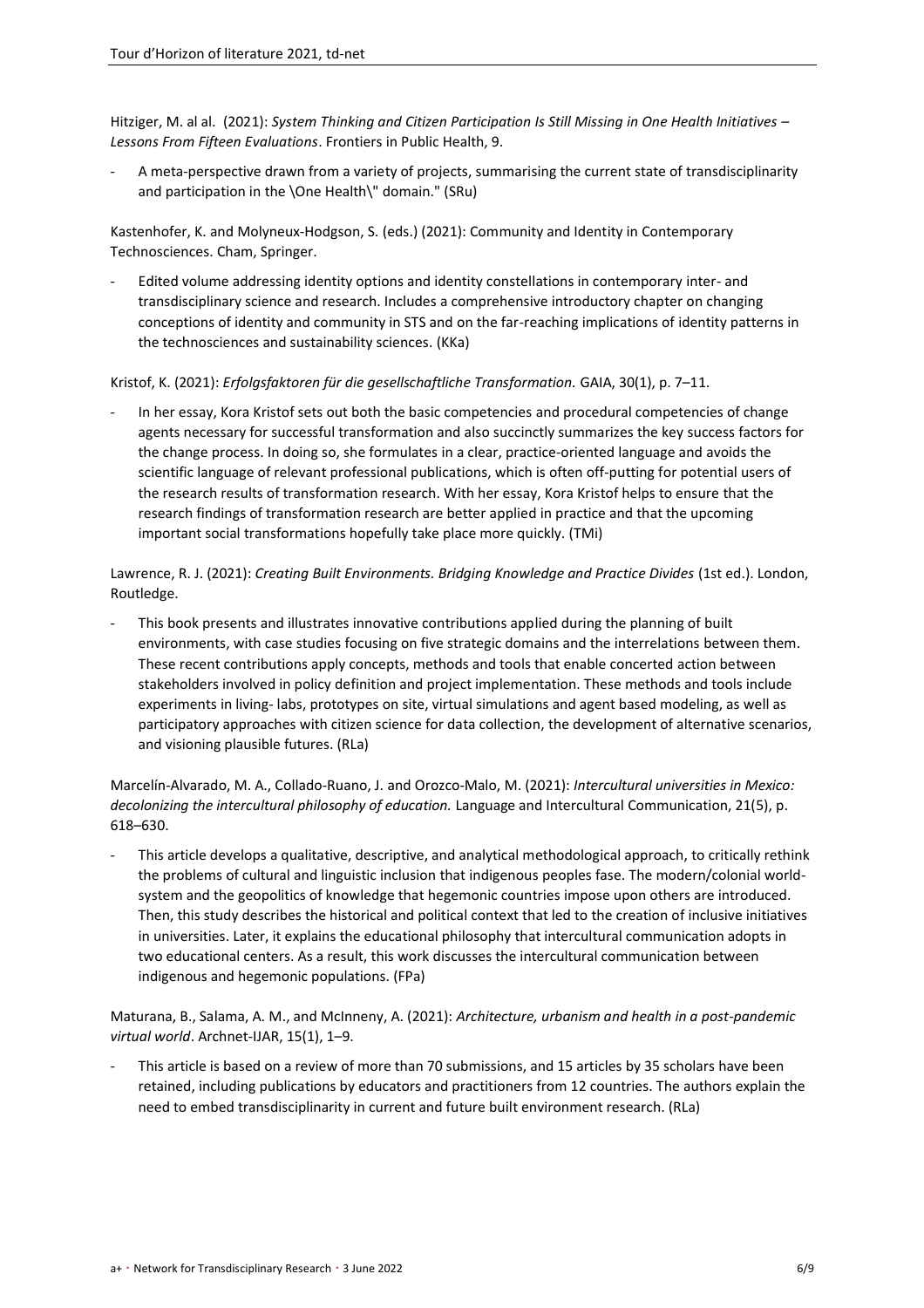Hitziger, M. al al. (2021): *System [Thinking and Citizen Participation Is Still Missing in One Health Initiatives](https://www.frontiersin.org/articles/10.3389/fpubh.2021.653398/full) – [Lessons From Fifteen Evaluations](https://www.frontiersin.org/articles/10.3389/fpubh.2021.653398/full)*. Frontiers in Public Health, 9.

A meta-perspective drawn from a variety of projects, summarising the current state of transdisciplinarity and participation in the \One Health\" domain." (SRu)

Kastenhofer, K. and Molyneux-Hodgson, S. (eds.) (2021): [Community and Identity in Contemporary](https://link.springer.com/book/10.1007/978-3-030-61728-8)  [Technosciences.](https://link.springer.com/book/10.1007/978-3-030-61728-8) Cham, Springer.

- Edited volume addressing identity options and identity constellations in contemporary inter- and transdisciplinary science and research. Includes a comprehensive introductory chapter on changing conceptions of identity and community in STS and on the far-reaching implications of identity patterns in the technosciences and sustainability sciences. (KKa)

## Kristof, K. (2021): *[Erfolgsfaktoren für die gesellschaftliche Transformation.](https://www.ingentaconnect.com/contentone/oekom/gaia/2021/00000030/00000001/art00004)* GAIA, 30(1), p. 7–11.

In her essay, Kora Kristof sets out both the basic competencies and procedural competencies of change agents necessary for successful transformation and also succinctly summarizes the key success factors for the change process. In doing so, she formulates in a clear, practice-oriented language and avoids the scientific language of relevant professional publications, which is often off-putting for potential users of the research results of transformation research. With her essay, Kora Kristof helps to ensure that the research findings of transformation research are better applied in practice and that the upcoming important social transformations hopefully take place more quickly. (TMi)

Lawrence, R. J. (2021): *[Creating Built Environments. Bridging Knowledge and Practice Divides](https://www.routledge.com/Creating-Built-Environments-Bridging-Knowledge-and-Practice%20Divides/Lawrence/p/book/9780815385394)* (1st ed.). London, [Routledge.](https://www.routledge.com/Creating-Built-Environments-Bridging-Knowledge-and-Practice%20Divides/Lawrence/p/book/9780815385394)

This book presents and illustrates innovative contributions applied during the planning of built environments, with case studies focusing on five strategic domains and the interrelations between them. These recent contributions apply concepts, methods and tools that enable concerted action between stakeholders involved in policy definition and project implementation. These methods and tools include experiments in living- labs, prototypes on site, virtual simulations and agent based modeling, as well as participatory approaches with citizen science for data collection, the development of alternative scenarios, and visioning plausible futures. (RLa)

[Marcelín-Alvarado, M. A., Collado-Ruano, J.](https://www.tandfonline.com/doi/full/10.1080/14708477.2021.1935987) and Orozco-Malo, M. (2021): *Intercultural universities in Mexico: [decolonizing the intercultural philosophy of education.](https://www.tandfonline.com/doi/full/10.1080/14708477.2021.1935987)* Language and Intercultural Communication, 21(5), p. 618–[630.](https://www.tandfonline.com/doi/full/10.1080/14708477.2021.1935987)

This article develops a qualitative, descriptive, and analytical methodological approach, to critically rethink the problems of cultural and linguistic inclusion that indigenous peoples fase. The modern/colonial worldsystem and the geopolitics of knowledge that hegemonic countries impose upon others are introduced. Then, this study describes the historical and political context that led to the creation of inclusive initiatives in universities. Later, it explains the educational philosophy that intercultural communication adopts in two educational centers. As a result, this work discusses the intercultural communication between indigenous and hegemonic populations. (FPa)

[Maturana, B., Salama, A. M., and McInneny, A. \(2021\):](https://www.emerald.com/insight/content/doi/10.1108/ARCH-02-2021-0024/full/html) *Architecture, urbanism and health in a post-pandemic virtual world*[. Archnet-IJAR, 15\(1\), 1](https://www.emerald.com/insight/content/doi/10.1108/ARCH-02-2021-0024/full/html)–9.

This article is based on a review of more than 70 submissions, and 15 articles by 35 scholars have been retained, including publications by educators and practitioners from 12 countries. The authors explain the need to embed transdisciplinarity in current and future built environment research. (RLa)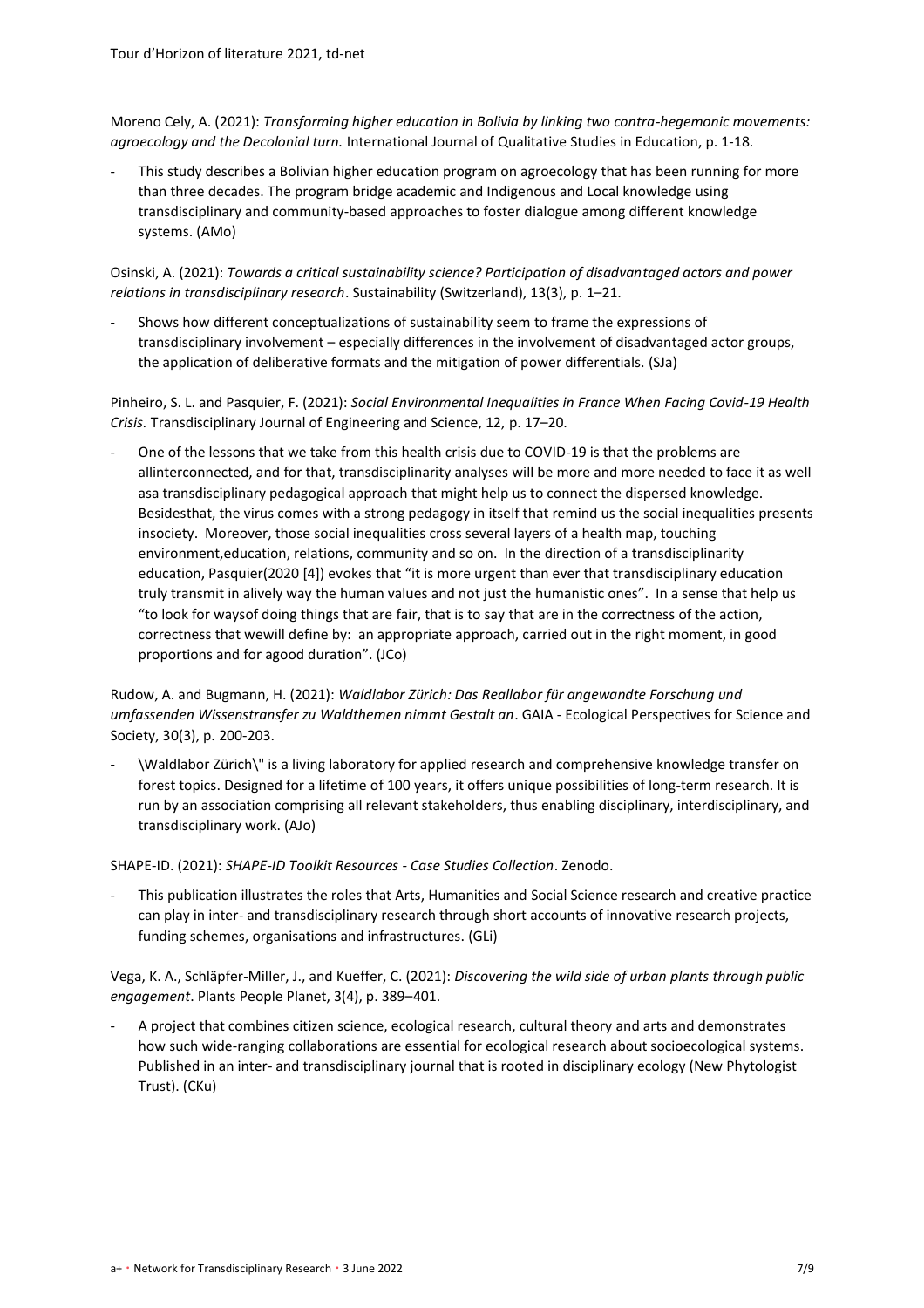Moreno Cely, A. (2021): *[Transforming higher education in Bolivia by linking two contra-hegemonic movements:](https://www.tandfonline.com/doi/full/10.1080/09518398.2021.1930259?scroll=top&needAccess=true)  agroecology and the Decolonial turn.* [International Journal of Qualitative Studies in Education, p. 1-18.](https://www.tandfonline.com/doi/full/10.1080/09518398.2021.1930259?scroll=top&needAccess=true)

This study describes a Bolivian higher education program on agroecology that has been running for more than three decades. The program bridge academic and Indigenous and Local knowledge using transdisciplinary and community-based approaches to foster dialogue among different knowledge systems. (AMo)

Osinski, A. (2021): *[Towards a critical sustainability science? Participation of disadvantaged actors and power](https://www.mdpi.com/2071-1050/13/3/1266)  relations in transdisciplinary research*[. Sustainability \(Switzerland\), 13\(3\), p. 1](https://www.mdpi.com/2071-1050/13/3/1266)–21.

- Shows how different conceptualizations of sustainability seem to frame the expressions of transdisciplinary involvement – especially differences in the involvement of disadvantaged actor groups, the application of deliberative formats and the mitigation of power differentials. (SJa)

Pinheiro, S. L. and Pasquier, F. (2021): *[Social Environmental Inequalities in France When Facing Covid-19 Health](http://www.atlas-tjes.org/index.php/tjes/article/view/178)  Crisis.* [Transdisciplinary Journal of Engineering and Science, 12,](http://www.atlas-tjes.org/index.php/tjes/article/view/178) p. 17–20.

One of the lessons that we take from this health crisis due to COVID-19 is that the problems are allinterconnected, and for that, transdisciplinarity analyses will be more and more needed to face it as well asa transdisciplinary pedagogical approach that might help us to connect the dispersed knowledge. Besidesthat, the virus comes with a strong pedagogy in itself that remind us the social inequalities presents insociety. Moreover, those social inequalities cross several layers of a health map, touching environment,education, relations, community and so on. In the direction of a transdisciplinarity education, Pasquier(2020 [4]) evokes that "it is more urgent than ever that transdisciplinary education truly transmit in alively way the human values and not just the humanistic ones". In a sense that help us "to look for waysof doing things that are fair, that is to say that are in the correctness of the action, correctness that wewill define by: an appropriate approach, carried out in the right moment, in good proportions and for agood duration". (JCo)

Rudow, A. and Bugmann, H. (2021): *Waldlabor Zürich: Das Reallabor für angewandte Forschung und umfassenden Wissenstransfer zu Waldthemen nimmt Gestalt an*. GAIA - Ecological Perspectives for Science and Society, 30(3), p. 200-203.

- \Waldlabor Zürich\" is a living laboratory for applied research and comprehensive knowledge transfer on forest topics. Designed for a lifetime of 100 years, it offers unique possibilities of long-term research. It is run by an association comprising all relevant stakeholders, thus enabling disciplinary, interdisciplinary, and transdisciplinary work. (AJo)

SHAPE-ID. (2021): *[SHAPE-ID Toolkit Resources -](https://zenodo.org/record/4743691#.YntoNS-21hA) Case Studies Collection*. Zenodo.

This publication illustrates the roles that Arts, Humanities and Social Science research and creative practice can play in inter- and transdisciplinary research through short accounts of innovative research projects, funding schemes, organisations and infrastructures. (GLi)

Vega, K. A., Schläpfer-Miller, J., and Kueffer, C. (2021): *[Discovering the wild side of urban plants through public](https://nph.onlinelibrary.wiley.com/doi/10.1002/ppp3.10191)  engagement*[. Plants People Planet, 3\(4\), p. 389](https://nph.onlinelibrary.wiley.com/doi/10.1002/ppp3.10191)–401.

A project that combines citizen science, ecological research, cultural theory and arts and demonstrates how such wide-ranging collaborations are essential for ecological research about socioecological systems. Published in an inter- and transdisciplinary journal that is rooted in disciplinary ecology (New Phytologist Trust). (CKu)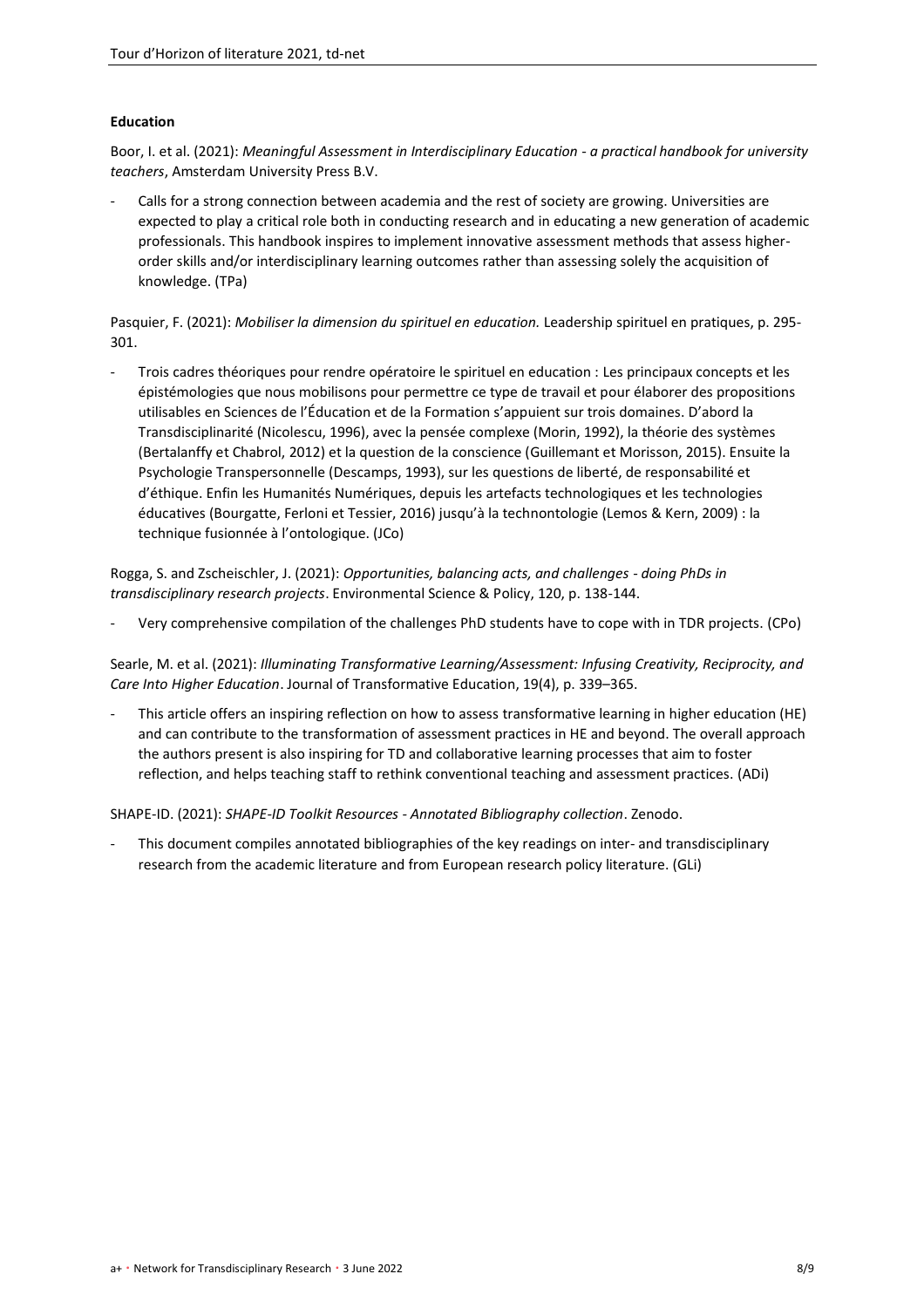## **Education**

Boor, I. et al. (2021): *[Meaningful Assessment in Interdisciplinary Education -](https://www.aup.nl/en/book/9789463729048/meaningful-assessment-in-interdisciplinary-education) a practical handbook for university teachers*[, Amsterdam University Press B.V.](https://www.aup.nl/en/book/9789463729048/meaningful-assessment-in-interdisciplinary-education)

Calls for a strong connection between academia and the rest of society are growing. Universities are expected to play a critical role both in conducting research and in educating a new generation of academic professionals. This handbook inspires to implement innovative assessment methods that assess higherorder skills and/or interdisciplinary learning outcomes rather than assessing solely the acquisition of knowledge. (TPa)

Pasquier, F. (2021): *Mobiliser la dimension du spirituel en education.* [Leadership spirituel en pratiques, p. 295-](https://www.cairn.info/leadership-spirituel-en-pratiques--9782376874591-page-295.htm?contenu=resume) [301.](https://www.cairn.info/leadership-spirituel-en-pratiques--9782376874591-page-295.htm?contenu=resume)

- Trois cadres théoriques pour rendre opératoire le spirituel en education : Les principaux concepts et les épistémologies que nous mobilisons pour permettre ce type de travail et pour élaborer des propositions utilisables en Sciences de l'Éducation et de la Formation s'appuient sur trois domaines. D'abord la Transdisciplinarité (Nicolescu, 1996), avec la pensée complexe (Morin, 1992), la théorie des systèmes (Bertalanffy et Chabrol, 2012) et la question de la conscience (Guillemant et Morisson, 2015). Ensuite la Psychologie Transpersonnelle (Descamps, 1993), sur les questions de liberté, de responsabilité et d'éthique. Enfin les Humanités Numériques, depuis les artefacts technologiques et les technologies éducatives (Bourgatte, Ferloni et Tessier, 2016) jusqu'à la technontologie (Lemos & Kern, 2009) : la technique fusionnée à l'ontologique. (JCo)

Rogga, S. and Zscheischler, J. (2021): *[Opportunities, balancing acts, and challenges -](https://www.sciencedirect.com/science/article/pii/S1462901121000800?via%3Dihub) doing PhDs in transdisciplinary research projects*[. Environmental Science & Policy, 120, p. 138-144.](https://www.sciencedirect.com/science/article/pii/S1462901121000800?via%3Dihub)

- Very comprehensive compilation of the challenges PhD students have to cope with in TDR projects. (CPo)

Searle, M. et al. (2021): *[Illuminating Transformative Learning/Assessment: Infusing Creativity, Reciprocity, and](https://journals.sagepub.com/doi/10.1177/15413446211045160)  Care Into Higher Education*[. Journal of Transformative Education, 19\(4\),](https://journals.sagepub.com/doi/10.1177/15413446211045160) p. 339–365.

This article offers an inspiring reflection on how to assess transformative learning in higher education (HE) and can contribute to the transformation of assessment practices in HE and beyond. The overall approach the authors present is also inspiring for TD and collaborative learning processes that aim to foster reflection, and helps teaching staff to rethink conventional teaching and assessment practices. (ADi)

SHAPE-ID. (2021): *SHAPE-ID Toolkit Resources - [Annotated Bibliography collection](https://zenodo.org/record/4743691#.YntmWS-21hA)*. Zenodo.

This document compiles annotated bibliographies of the key readings on inter- and transdisciplinary research from the academic literature and from European research policy literature. (GLi)